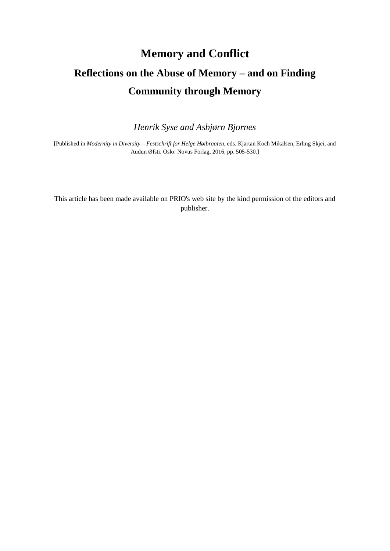# **Memory and Conflict Reflections on the Abuse of Memory – and on Finding Community through Memory**

*Henrik Syse and Asbjørn Bjornes*

[Published in *Modernity in Diversity – Festschrift for Helge Høibraaten*, eds. Kjartan Koch Mikalsen, Erling Skjei, and Audun Øfsti. Oslo: Novus Forlag, 2016, pp. 505-530*.*]

This article has been made available on PRIO's web site by the kind permission of the editors and publisher.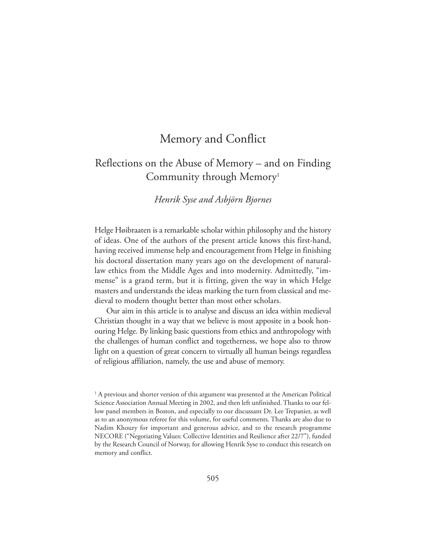# Memory and Conflict

# Reflections on the Abuse of Memory – and on Finding Community through Memory<sup>1</sup>

#### *Henrik Syse and Asbjörn Bjornes*

Helge Høibraaten is a remarkable scholar within philosophy and the history of ideas. One of the authors of the present article knows this first-hand, having received immense help and encouragement from Helge in finishing his doctoral dissertation many years ago on the development of naturallaw ethics from the Middle Ages and into modernity. Admittedly, "immense" is a grand term, but it is fitting, given the way in which Helge masters and understands the ideas marking the turn from classical and medieval to modern thought better than most other scholars.

Our aim in this article is to analyse and discuss an idea within medieval Christian thought in a way that we believe is most apposite in a book honouring Helge. By linking basic questions from ethics and anthropology with the challenges of human conflict and togetherness, we hope also to throw light on a question of great concern to virtually all human beings regardless of religious affiliation, namely, the use and abuse of memory.

<sup>&</sup>lt;sup>1</sup> A previous and shorter version of this argument was presented at the American Political Science Association Annual Meeting in 2002, and then left unfinished. Thanks to our fellow panel members in Boston, and especially to our discussant Dr. Lee Trepanier, as well as to an anonymous referee for this volume, for useful comments. Thanks are also due to Nadim Khoury for important and generous advice, and to the research programme NECORE ("Negotiating Values: Collective Identities and Resilience after 22/7"), funded by the Research Council of Norway, for allowing Henrik Syse to conduct this research on memory and conflict.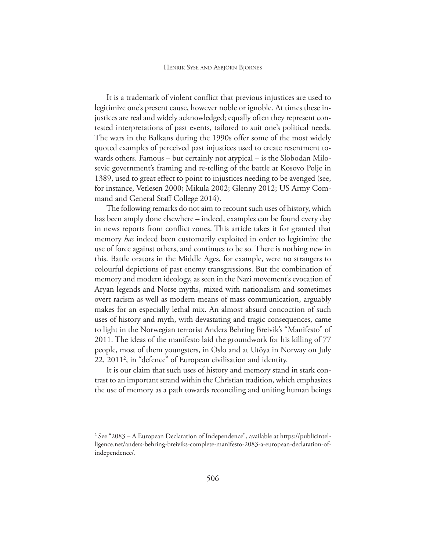It is a trademark of violent conflict that previous injustices are used to legitimize one's present cause, however noble or ignoble. At times these injustices are real and widely acknowledged; equally often they represent contested interpretations of past events, tailored to suit one's political needs. The wars in the Balkans during the 1990s offer some of the most widely quoted examples of perceived past injustices used to create resentment towards others. Famous – but certainly not atypical – is the Slobodan Milosevic government's framing and re-telling of the battle at Kosovo Polje in 1389, used to great effect to point to injustices needing to be avenged (see, for instance, Vetlesen 2000; Mikula 2002; Glenny 2012; US Army Command and General Staff College 2014).

The following remarks do not aim to recount such uses of history, which has been amply done elsewhere – indeed, examples can be found every day in news reports from conflict zones. This article takes it for granted that memory *has* indeed been customarily exploited in order to legitimize the use of force against others, and continues to be so. There is nothing new in this. Battle orators in the Middle Ages, for example, were no strangers to colourful depictions of past enemy transgressions. But the combination of memory and modern ideology, as seen in the Nazi movement's evocation of Aryan legends and Norse myths, mixed with nationalism and sometimes overt racism as well as modern means of mass communication, arguably makes for an especially lethal mix. An almost absurd concoction of such uses of history and myth, with devastating and tragic consequences, came to light in the Norwegian terrorist Anders Behring Breivik's "Manifesto" of 2011. The ideas of the manifesto laid the groundwork for his killing of 77 people, most of them youngsters, in Oslo and at Utöya in Norway on July 22, 2011<sup>2</sup> , in "defence" of European civilisation and identity.

It is our claim that such uses of history and memory stand in stark contrast to an important strand within the Christian tradition, which emphasizes the use of memory as a path towards reconciling and uniting human beings

<sup>&</sup>lt;sup>2</sup> See "2083 – A European Declaration of Independence", available at https://publicintelligence.net/anders-behring-breiviks-complete-manifesto-2083-a-european-declaration-ofindependence/.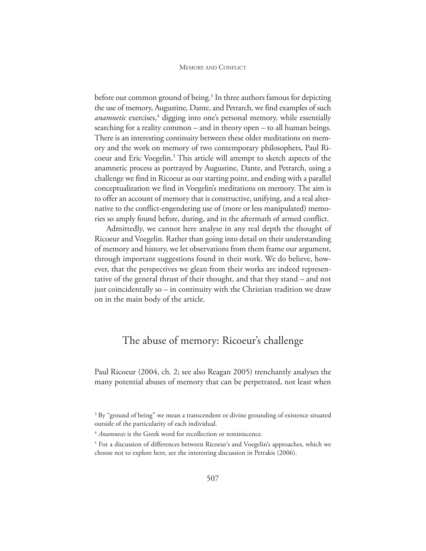#### MEMORY AND CONFLICT

before our common ground of being.<sup>3</sup> In three authors famous for depicting the use of memory, Augustine, Dante, and Petrarch, we find examples of such *anamnetic* exercises,<sup>4</sup> digging into one's personal memory, while essentially searching for a reality common – and in theory open – to all human beings. There is an interesting continuity between these older meditations on memory and the work on memory of two contemporary philosophers, Paul Ricoeur and Eric Voegelin.<sup>5</sup> This article will attempt to sketch aspects of the anamnetic process as portrayed by Augustine, Dante, and Petrarch, using a challenge we find in Ricoeur as our starting point, and ending with a parallel conceptualization we find in Voegelin's meditations on memory. The aim is to offer an account of memory that is constructive, unifying, and a real alternative to the conflict-engendering use of (more or less manipulated) memories so amply found before, during, and in the aftermath of armed conflict.

Admittedly, we cannot here analyse in any real depth the thought of Ricoeur and Voegelin. Rather than going into detail on their understanding of memory and history, we let observations from them frame our argument, through important suggestions found in their work. We do believe, however, that the perspectives we glean from their works are indeed representative of the general thrust of their thought, and that they stand – and not just coincidentally so – in continuity with the Christian tradition we draw on in the main body of the article.

### The abuse of memory: Ricoeur's challenge

Paul Ricoeur (2004, ch. 2; see also Reagan 2005) trenchantly analyses the many potential abuses of memory that can be perpetrated, not least when

<sup>&</sup>lt;sup>3</sup> By "ground of being" we mean a transcendent or divine grounding of existence situated outside of the particularity of each individual.

<sup>4</sup> *Anamnesis* is the Greek word for recollection or reminiscence.

<sup>5</sup> For a discussion of differences between Ricoeur's and Voegelin's approaches, which we choose not to explore here, see the interesting discussion in Petrakis (2006).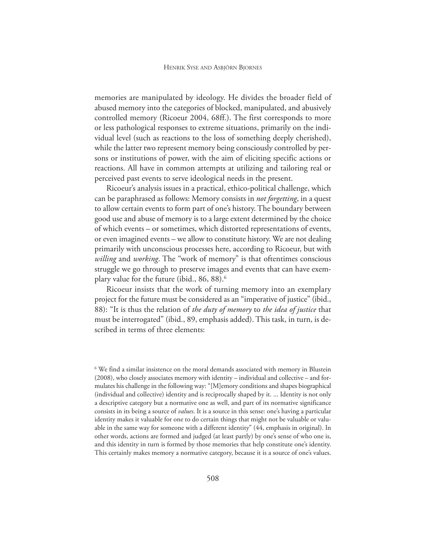memories are manipulated by ideology. He divides the broader field of abused memory into the categories of blocked, manipulated, and abusively controlled memory (Ricoeur 2004, 68ff.). The first corresponds to more or less pathological responses to extreme situations, primarily on the individual level (such as reactions to the loss of something deeply cherished), while the latter two represent memory being consciously controlled by persons or institutions of power, with the aim of eliciting specific actions or reactions. All have in common attempts at utilizing and tailoring real or perceived past events to serve ideological needs in the present.

Ricoeur's analysis issues in a practical, ethico-political challenge, which can be paraphrased as follows: Memory consists in *not forgetting*, in a quest to allow certain events to form part of one's history. The boundary between good use and abuse of memory is to a large extent determined by the choice of which events – or sometimes, which distorted representations of events, or even imagined events – we allow to constitute history. We are not dealing primarily with unconscious processes here, according to Ricoeur, but with *willing* and *working*. The "work of memory" is that oftentimes conscious struggle we go through to preserve images and events that can have exemplary value for the future (ibid., 86, 88).<sup>6</sup>

Ricoeur insists that the work of turning memory into an exemplary project for the future must be considered as an "imperative of justice" (ibid., 88): "It is thus the relation of *the duty of memory* to *the idea of justice* that must be interrogated" (ibid., 89, emphasis added). This task, in turn, is described in terms of three elements:

<sup>6</sup> We find a similar insistence on the moral demands associated with memory in Blustein (2008), who closely associates memory with identity – individual and collective – and formulates his challenge in the following way: "[M]emory conditions and shapes biographical (individual and collective) identity and is reciprocally shaped by it. ... Identity is not only a descriptive category but a normative one as well, and part of its normative significance consists in its being a source of *values*. It is a source in this sense: one's having a particular identity makes it valuable for one to do certain things that might not be valuable or valuable in the same way for someone with a different identity" (44, emphasis in original). In other words, actions are formed and judged (at least partly) by one's sense of who one is, and this identity in turn is formed by those memories that help constitute one's identity. This certainly makes memory a normative category, because it is a source of one's values.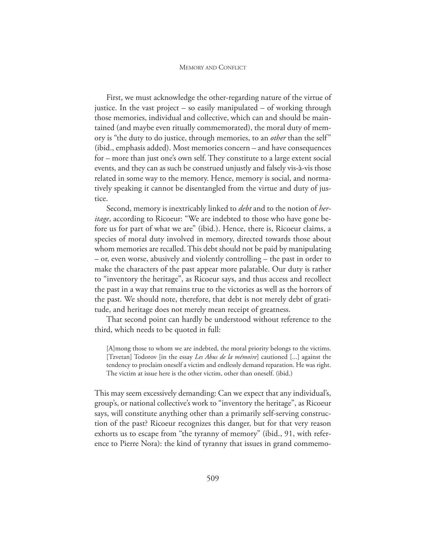First, we must acknowledge the other-regarding nature of the virtue of justice. In the vast project – so easily manipulated – of working through those memories, individual and collective, which can and should be maintained (and maybe even ritually commemorated), the moral duty of memory is "the duty to do justice, through memories, to an *other* than the self" (ibid., emphasis added). Most memories concern – and have consequences for – more than just one's own self. They constitute to a large extent social events, and they can as such be construed unjustly and falsely vis-à-vis those related in some way to the memory. Hence, memory is social, and normatively speaking it cannot be disentangled from the virtue and duty of justice.

Second, memory is inextricably linked to *debt* and to the notion of *heritage*, according to Ricoeur: "We are indebted to those who have gone before us for part of what we are" (ibid.). Hence, there is, Ricoeur claims, a species of moral duty involved in memory, directed towards those about whom memories are recalled. This debt should not be paid by manipulating – or, even worse, abusively and violently controlling – the past in order to make the characters of the past appear more palatable. Our duty is rather to "inventory the heritage", as Ricoeur says, and thus access and recollect the past in a way that remains true to the victories as well as the horrors of the past. We should note, therefore, that debt is not merely debt of gratitude, and heritage does not merely mean receipt of greatness.

That second point can hardly be understood without reference to the third, which needs to be quoted in full:

[A]mong those to whom we are indebted, the moral priority belongs to the victims. [Tzvetan] Todorov [in the essay *Les Abus de la mémoire*] cautioned [...] against the tendency to proclaim oneself a victim and endlessly demand reparation. He was right. The victim at issue here is the other victim, other than oneself. (ibid.)

This may seem excessively demanding: Can we expect that any individual's, group's, or national collective's work to "inventory the heritage", as Ricoeur says, will constitute anything other than a primarily self-serving construction of the past? Ricoeur recognizes this danger, but for that very reason exhorts us to escape from "the tyranny of memory" (ibid., 91, with reference to Pierre Nora): the kind of tyranny that issues in grand commemo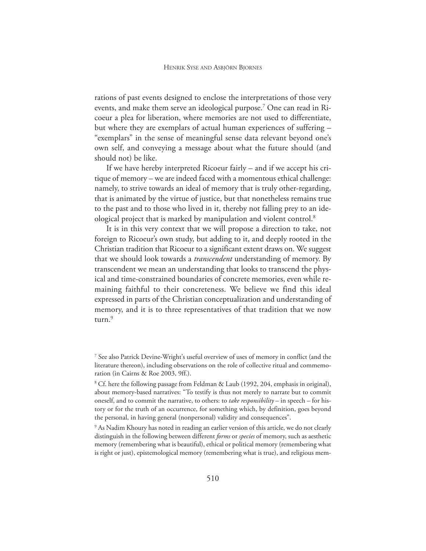rations of past events designed to enclose the interpretations of those very events, and make them serve an ideological purpose.<sup>7</sup> One can read in Ricoeur a plea for liberation, where memories are not used to differentiate, but where they are exemplars of actual human experiences of suffering – "exemplars" in the sense of meaningful sense data relevant beyond one's own self, and conveying a message about what the future should (and should not) be like.

If we have hereby interpreted Ricoeur fairly – and if we accept his critique of memory – we are indeed faced with a momentous ethical challenge: namely, to strive towards an ideal of memory that is truly other-regarding, that is animated by the virtue of justice, but that nonetheless remains true to the past and to those who lived in it, thereby not falling prey to an ideological project that is marked by manipulation and violent control.<sup>8</sup>

It is in this very context that we will propose a direction to take, not foreign to Ricoeur's own study, but adding to it, and deeply rooted in the Christian tradition that Ricoeur to a significant extent draws on. We suggest that we should look towards a *transcendent* understanding of memory. By transcendent we mean an understanding that looks to transcend the physical and time-constrained boundaries of concrete memories, even while remaining faithful to their concreteness. We believe we find this ideal expressed in parts of the Christian conceptualization and understanding of memory, and it is to three representatives of that tradition that we now turn.<sup>9</sup>

<sup>7</sup> See also Patrick Devine-Wright's useful overview of uses of memory in conflict (and the literature thereon), including observations on the role of collective ritual and commemoration (in Cairns & Roe 2003, 9ff.).

<sup>&</sup>lt;sup>8</sup> Cf. here the following passage from Feldman & Laub (1992, 204, emphasis in original), about memory-based narratives: "To testify is thus not merely to narrate but to commit oneself, and to commit the narrative, to others: to *take responsibility* – in speech – for history or for the truth of an occurrence, for something which, by definition, goes beyond the personal, in having general (nonpersonal) validity and consequences".

<sup>&</sup>lt;sup>9</sup> As Nadim Khoury has noted in reading an earlier version of this article, we do not clearly distinguish in the following between different *forms* or *species* of memory, such as aesthetic memory (remembering what is beautiful), ethical or political memory (remembering what is right or just), epistemological memory (remembering what is true), and religious mem-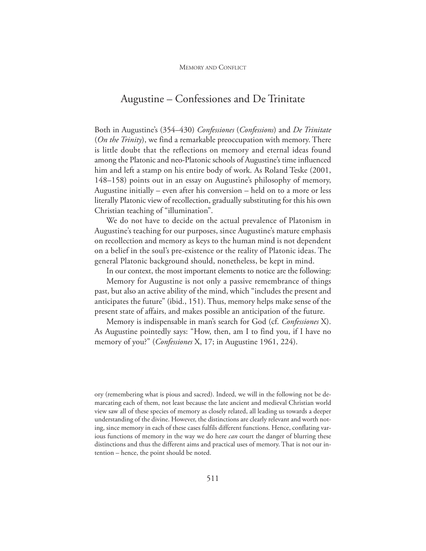### Augustine – Confessiones and De Trinitate

Both in Augustine's (354–430) *Confessiones* (*Confessions*) and *De Trinitate* (*On the Trinity*), we find a remarkable preoccupation with memory. There is little doubt that the reflections on memory and eternal ideas found among the Platonic and neo-Platonic schools of Augustine's time influenced him and left a stamp on his entire body of work. As Roland Teske (2001, 148–158) points out in an essay on Augustine's philosophy of memory, Augustine initially – even after his conversion – held on to a more or less literally Platonic view of recollection, gradually substituting for this his own Christian teaching of "illumination".

We do not have to decide on the actual prevalence of Platonism in Augustine's teaching for our purposes, since Augustine's mature emphasis on recollection and memory as keys to the human mind is not dependent on a belief in the soul's pre-existence or the reality of Platonic ideas. The general Platonic background should, nonetheless, be kept in mind.

In our context, the most important elements to notice are the following:

Memory for Augustine is not only a passive remembrance of things past, but also an active ability of the mind, which "includes the present and anticipates the future" (ibid., 151). Thus, memory helps make sense of the present state of affairs, and makes possible an anticipation of the future.

Memory is indispensable in man's search for God (cf. *Confessiones* X). As Augustine pointedly says: "How, then, am I to find you, if I have no memory of you?" (*Confessiones* X, 17; in Augustine 1961, 224).

ory (remembering what is pious and sacred). Indeed, we will in the following not be demarcating each of them, not least because the late ancient and medieval Christian world view saw all of these species of memory as closely related, all leading us towards a deeper understanding of the divine. However, the distinctions are clearly relevant and worth noting, since memory in each of these cases fulfils different functions. Hence, conflating various functions of memory in the way we do here *can* court the danger of blurring these distinctions and thus the different aims and practical uses of memory. That is not our intention – hence, the point should be noted.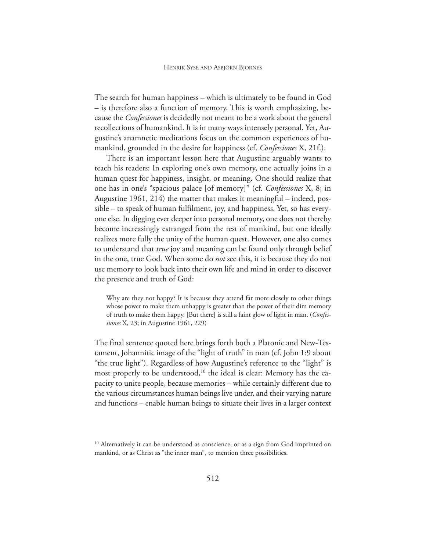The search for human happiness – which is ultimately to be found in God – is therefore also a function of memory. This is worth emphasizing, because the *Confessiones* is decidedly not meant to be a work about the general recollections of humankind. It is in many ways intensely personal. Yet, Augustine's anamnetic meditations focus on the common experiences of humankind, grounded in the desire for happiness (cf. *Confessiones* X, 21f.).

There is an important lesson here that Augustine arguably wants to teach his readers: In exploring one's own memory, one actually joins in a human quest for happiness, insight, or meaning. One should realize that one has in one's "spacious palace [of memory]" (cf. *Confessiones* X, 8; in Augustine 1961, 214) the matter that makes it meaningful – indeed, possible – to speak of human fulfilment, joy, and happiness. Yet, so has everyone else. In digging ever deeper into personal memory, one does not thereby become increasingly estranged from the rest of mankind, but one ideally realizes more fully the unity of the human quest. However, one also comes to understand that *true* joy and meaning can be found only through belief in the one, true God. When some do *not* see this, it is because they do not use memory to look back into their own life and mind in order to discover the presence and truth of God:

Why are they not happy? It is because they attend far more closely to other things whose power to make them unhappy is greater than the power of their dim memory of truth to make them happy. [But there] is still a faint glow of light in man. (*Confessiones* X, 23; in Augustine 1961, 229)

The final sentence quoted here brings forth both a Platonic and New-Testament, Johannitic image of the "light of truth" in man (cf. John 1:9 about "the true light"). Regardless of how Augustine's reference to the "light" is most properly to be understood,<sup>10</sup> the ideal is clear: Memory has the capacity to unite people, because memories – while certainly different due to the various circumstances human beings live under, and their varying nature and functions – enable human beings to situate their lives in a larger context

<sup>&</sup>lt;sup>10</sup> Alternatively it can be understood as conscience, or as a sign from God imprinted on mankind, or as Christ as "the inner man", to mention three possibilities.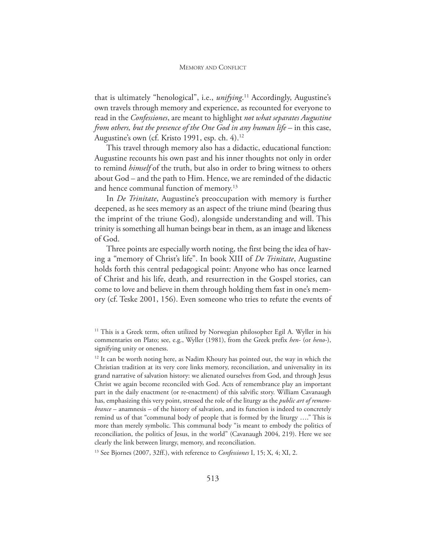#### MEMORY AND CONFLICT

that is ultimately "henological", i.e., *unifying*. <sup>11</sup> Accordingly, Augustine's own travels through memory and experience, as recounted for everyone to read in the *Confessiones*, are meant to highlight *not what separates Augustine from others, but the presence of the One God in any human life* – in this case, Augustine's own (cf. Kristo 1991, esp. ch. 4).<sup>12</sup>

This travel through memory also has a didactic, educational function: Augustine recounts his own past and his inner thoughts not only in order to remind *himself* of the truth, but also in order to bring witness to others about God – and the path to Him. Hence, we are reminded of the didactic and hence communal function of memory.<sup>13</sup>

In *De Trinitate*, Augustine's preoccupation with memory is further deepened, as he sees memory as an aspect of the triune mind (bearing thus the imprint of the triune God), alongside understanding and will. This trinity is something all human beings bear in them, as an image and likeness of God.

Three points are especially worth noting, the first being the idea of having a "memory of Christ's life". In book XIII of *De Trinitate*, Augustine holds forth this central pedagogical point: Anyone who has once learned of Christ and his life, death, and resurrection in the Gospel stories, can come to love and believe in them through holding them fast in one's memory (cf. Teske 2001, 156). Even someone who tries to refute the events of

<sup>13</sup> See Bjornes (2007, 32ff.), with reference to *Confessiones* I, 15; X, 4; XI, 2.

<sup>&</sup>lt;sup>11</sup> This is a Greek term, often utilized by Norwegian philosopher Egil A. Wyller in his commentaries on Plato; see, e.g., Wyller (1981), from the Greek prefix *hen-* (or *heno-*), signifying unity or oneness.

<sup>&</sup>lt;sup>12</sup> It can be worth noting here, as Nadim Khoury has pointed out, the way in which the Christian tradition at its very core links memory, reconciliation, and universality in its grand narrative of salvation history: we alienated ourselves from God, and through Jesus Christ we again become reconciled with God. Acts of remembrance play an important part in the daily enactment (or re-enactment) of this salvific story. William Cavanaugh has, emphasizing this very point, stressed the role of the liturgy as the *public art of remembrance* – anamnesis – of the history of salvation, and its function is indeed to concretely remind us of that "communal body of people that is formed by the liturgy …." This is more than merely symbolic. This communal body "is meant to embody the politics of reconciliation, the politics of Jesus, in the world" (Cavanaugh 2004, 219). Here we see clearly the link between liturgy, memory, and reconciliation.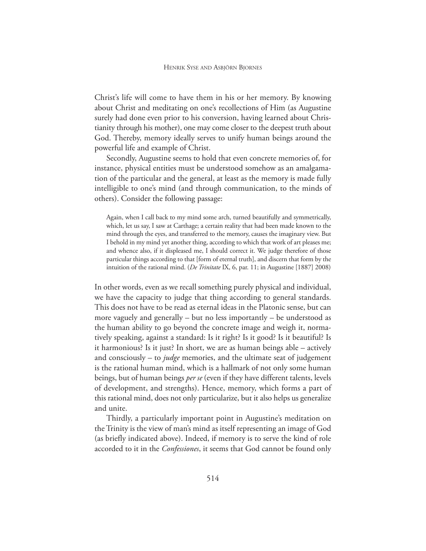Christ's life will come to have them in his or her memory. By knowing about Christ and meditating on one's recollections of Him (as Augustine surely had done even prior to his conversion, having learned about Christianity through his mother), one may come closer to the deepest truth about God. Thereby, memory ideally serves to unify human beings around the powerful life and example of Christ.

Secondly, Augustine seems to hold that even concrete memories of, for instance, physical entities must be understood somehow as an amalgamation of the particular and the general, at least as the memory is made fully intelligible to one's mind (and through communication, to the minds of others). Consider the following passage:

Again, when I call back to my mind some arch, turned beautifully and symmetrically, which, let us say, I saw at Carthage; a certain reality that had been made known to the mind through the eyes, and transferred to the memory, causes the imaginary view. But I behold in my mind yet another thing, according to which that work of art pleases me; and whence also, if it displeased me, I should correct it. We judge therefore of those particular things according to that [form of eternal truth], and discern that form by the intuition of the rational mind. (*De Trinitate* IX, 6, par. 11; in Augustine [1887] 2008)

In other words, even as we recall something purely physical and individual, we have the capacity to judge that thing according to general standards. This does not have to be read as eternal ideas in the Platonic sense, but can more vaguely and generally – but no less importantly – be understood as the human ability to go beyond the concrete image and weigh it, normatively speaking, against a standard: Is it right? Is it good? Is it beautiful? Is it harmonious? Is it just? In short, we are as human beings able – actively and consciously – to *judge* memories, and the ultimate seat of judgement is the rational human mind, which is a hallmark of not only some human beings, but of human beings *per se* (even if they have different talents, levels of development, and strengths). Hence, memory, which forms a part of this rational mind, does not only particularize, but it also helps us generalize and unite.

Thirdly, a particularly important point in Augustine's meditation on the Trinity is the view of man's mind as itself representing an image of God (as briefly indicated above). Indeed, if memory is to serve the kind of role accorded to it in the *Confessiones*, it seems that God cannot be found only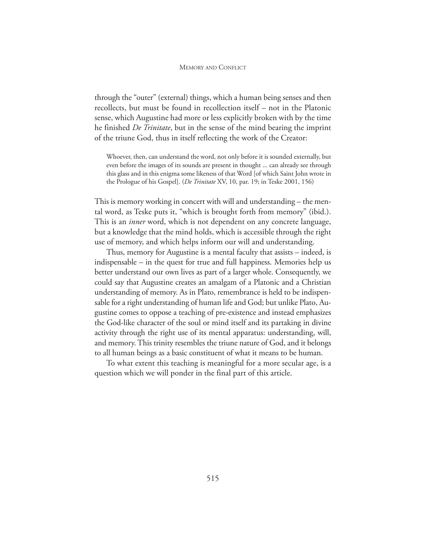#### MEMORY AND CONFLICT

through the "outer" (external) things, which a human being senses and then recollects, but must be found in recollection itself – not in the Platonic sense, which Augustine had more or less explicitly broken with by the time he finished *De Trinitate*, but in the sense of the mind bearing the imprint of the triune God, thus in itself reflecting the work of the Creator:

Whoever, then, can understand the word, not only before it is sounded externally, but even before the images of its sounds are present in thought ... can already see through this glass and in this enigma some likeness of that Word [of which Saint John wrote in the Prologue of his Gospel]. (*De Trinitate* XV, 10, par. 19; in Teske 2001, 156)

This is memory working in concert with will and understanding – the mental word, as Teske puts it, "which is brought forth from memory" (ibid.). This is an *inner* word, which is not dependent on any concrete language, but a knowledge that the mind holds, which is accessible through the right use of memory, and which helps inform our will and understanding.

Thus, memory for Augustine is a mental faculty that assists – indeed, is indispensable – in the quest for true and full happiness. Memories help us better understand our own lives as part of a larger whole. Consequently, we could say that Augustine creates an amalgam of a Platonic and a Christian understanding of memory. As in Plato, remembrance is held to be indispensable for a right understanding of human life and God; but unlike Plato, Augustine comes to oppose a teaching of pre-existence and instead emphasizes the God-like character of the soul or mind itself and its partaking in divine activity through the right use of its mental apparatus: understanding, will, and memory. This trinity resembles the triune nature of God, and it belongs to all human beings as a basic constituent of what it means to be human.

To what extent this teaching is meaningful for a more secular age, is a question which we will ponder in the final part of this article.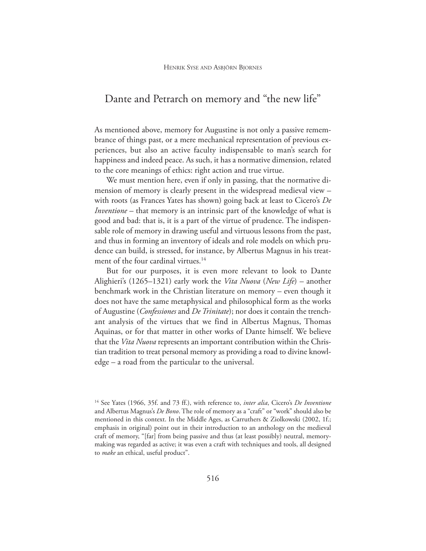### Dante and Petrarch on memory and "the new life"

As mentioned above, memory for Augustine is not only a passive remembrance of things past, or a mere mechanical representation of previous experiences, but also an active faculty indispensable to man's search for happiness and indeed peace. As such, it has a normative dimension, related to the core meanings of ethics: right action and true virtue.

We must mention here, even if only in passing, that the normative dimension of memory is clearly present in the widespread medieval view – with roots (as Frances Yates has shown) going back at least to Cicero's *De Inventione* – that memory is an intrinsic part of the knowledge of what is good and bad: that is, it is a part of the virtue of prudence. The indispensable role of memory in drawing useful and virtuous lessons from the past, and thus in forming an inventory of ideals and role models on which prudence can build, is stressed, for instance, by Albertus Magnus in his treatment of the four cardinal virtues.<sup>14</sup>

But for our purposes, it is even more relevant to look to Dante Alighieri's (1265–1321) early work the *Vita Nuova* (*New Life*) – another benchmark work in the Christian literature on memory – even though it does not have the same metaphysical and philosophical form as the works of Augustine (*Confessiones* and *De Trinitate*); nor does it contain the trenchant analysis of the virtues that we find in Albertus Magnus, Thomas Aquinas, or for that matter in other works of Dante himself. We believe that the *Vita Nuova* represents an important contribution within the Christian tradition to treat personal memory as providing a road to divine knowledge – a road from the particular to the universal.

<sup>14</sup> See Yates (1966, 35f. and 73 ff.), with reference to, *inter alia*, Cicero's *De Inventione* and Albertus Magnus's *De Bono*. The role of memory as a "craft" or "work" should also be mentioned in this context. In the Middle Ages, as Carruthers & Ziolkowski (2002, 1f.; emphasis in original) point out in their introduction to an anthology on the medieval craft of memory, "[far] from being passive and thus (at least possibly) neutral, memorymaking was regarded as active; it was even a craft with techniques and tools, all designed to *make* an ethical, useful product".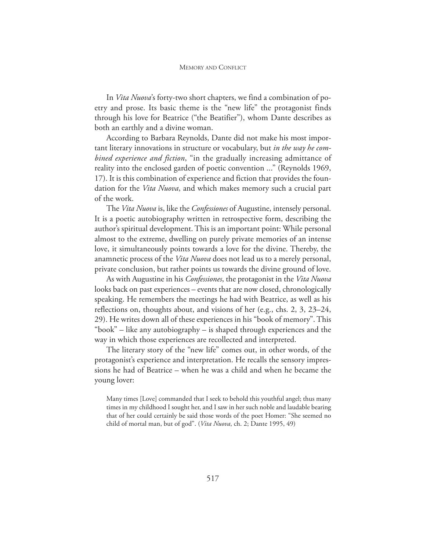In *Vita Nuova*'s forty-two short chapters, we find a combination of poetry and prose. Its basic theme is the "new life" the protagonist finds through his love for Beatrice ("the Beatifier"), whom Dante describes as both an earthly and a divine woman.

According to Barbara Reynolds, Dante did not make his most important literary innovations in structure or vocabulary, but *in the way he combined experience and fiction*, "in the gradually increasing admittance of reality into the enclosed garden of poetic convention ..." (Reynolds 1969, 17). It is this combination of experience and fiction that provides the foundation for the *Vita Nuova*, and which makes memory such a crucial part of the work.

The *Vita Nuova* is, like the *Confessiones* of Augustine, intensely personal. It is a poetic autobiography written in retrospective form, describing the author's spiritual development. This is an important point: While personal almost to the extreme, dwelling on purely private memories of an intense love, it simultaneously points towards a love for the divine. Thereby, the anamnetic process of the *Vita Nuova* does not lead us to a merely personal, private conclusion, but rather points us towards the divine ground of love.

As with Augustine in his *Confessiones*, the protagonist in the *Vita Nuova* looks back on past experiences – events that are now closed, chronologically speaking. He remembers the meetings he had with Beatrice, as well as his reflections on, thoughts about, and visions of her (e.g., chs. 2, 3, 23–24, 29). He writes down all of these experiences in his "book of memory". This "book" – like any autobiography – is shaped through experiences and the way in which those experiences are recollected and interpreted.

The literary story of the "new life" comes out, in other words, of the protagonist's experience and interpretation. He recalls the sensory impressions he had of Beatrice – when he was a child and when he became the young lover:

Many times [Love] commanded that I seek to behold this youthful angel; thus many times in my childhood I sought her, and I saw in her such noble and laudable bearing that of her could certainly be said those words of the poet Homer: "She seemed no child of mortal man, but of god". (*Vita Nuova*, ch. 2; Dante 1995, 49)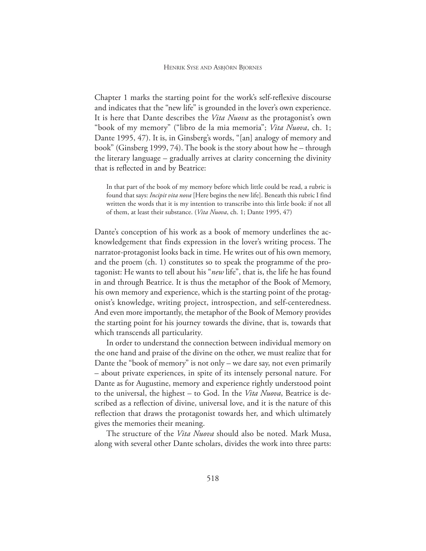Chapter 1 marks the starting point for the work's self-reflexive discourse and indicates that the "new life" is grounded in the lover's own experience. It is here that Dante describes the *Vita Nuova* as the protagonist's own "book of my memory" ("libro de la mia memoria"; *Vita Nuova*, ch. 1; Dante 1995, 47). It is, in Ginsberg's words, "[an] analogy of memory and book" (Ginsberg 1999, 74). The book is the story about how he – through the literary language – gradually arrives at clarity concerning the divinity that is reflected in and by Beatrice:

In that part of the book of my memory before which little could be read, a rubric is found that says: *Incipit vita nova* [Here begins the new life]. Beneath this rubric I find written the words that it is my intention to transcribe into this little book: if not all of them, at least their substance. (*Vita Nuova*, ch. 1; Dante 1995, 47)

Dante's conception of his work as a book of memory underlines the acknowledgement that finds expression in the lover's writing process. The narrator-protagonist looks back in time. He writes out of his own memory, and the proem (ch. 1) constitutes so to speak the programme of the protagonist: He wants to tell about his "*new* life", that is, the life he has found in and through Beatrice. It is thus the metaphor of the Book of Memory, his own memory and experience, which is the starting point of the protagonist's knowledge, writing project, introspection, and self-centeredness. And even more importantly, the metaphor of the Book of Memory provides the starting point for his journey towards the divine, that is, towards that which transcends all particularity*.*

In order to understand the connection between individual memory on the one hand and praise of the divine on the other, we must realize that for Dante the "book of memory" is not only – we dare say, not even primarily – about private experiences, in spite of its intensely personal nature. For Dante as for Augustine, memory and experience rightly understood point to the universal, the highest – to God. In the *Vita Nuova*, Beatrice is described as a reflection of divine, universal love, and it is the nature of this reflection that draws the protagonist towards her, and which ultimately gives the memories their meaning.

The structure of the *Vita Nuova* should also be noted. Mark Musa, along with several other Dante scholars, divides the work into three parts: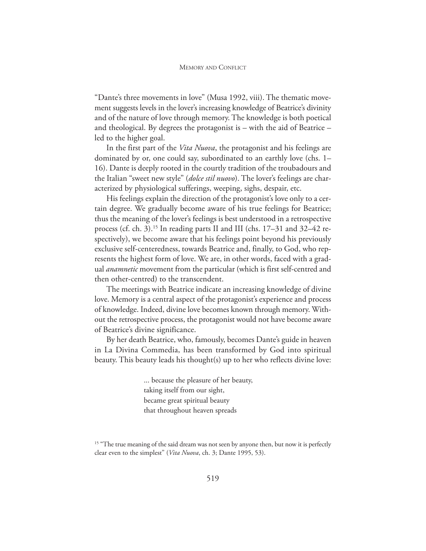"Dante's three movements in love" (Musa 1992, viii). The thematic movement suggests levels in the lover's increasing knowledge of Beatrice's divinity and of the nature of love through memory. The knowledge is both poetical and theological. By degrees the protagonist is – with the aid of Beatrice – led to the higher goal.

In the first part of the *Vita Nuova*, the protagonist and his feelings are dominated by or, one could say, subordinated to an earthly love (chs. 1– 16). Dante is deeply rooted in the courtly tradition of the troubadours and the Italian "sweet new style" (*dolce stil nuovo*). The lover's feelings are characterized by physiological sufferings, weeping, sighs, despair, etc.

His feelings explain the direction of the protagonist's love only to a certain degree. We gradually become aware of his true feelings for Beatrice; thus the meaning of the lover's feelings is best understood in a retrospective process (cf. ch. 3).<sup>15</sup> In reading parts II and III (chs. 17–31 and 32–42 respectively), we become aware that his feelings point beyond his previously exclusive self-centeredness, towards Beatrice and, finally, to God, who represents the highest form of love. We are, in other words, faced with a gradual *anamnetic* movement from the particular (which is first self-centred and then other-centred) to the transcendent.

The meetings with Beatrice indicate an increasing knowledge of divine love. Memory is a central aspect of the protagonist's experience and process of knowledge. Indeed, divine love becomes known through memory. Without the retrospective process, the protagonist would not have become aware of Beatrice's divine significance.

By her death Beatrice, who, famously, becomes Dante's guide in heaven in La Divina Commedia, has been transformed by God into spiritual beauty. This beauty leads his thought(s) up to her who reflects divine love:

> ... because the pleasure of her beauty, taking itself from our sight, became great spiritual beauty that throughout heaven spreads

<sup>&</sup>lt;sup>15</sup> "The true meaning of the said dream was not seen by anyone then, but now it is perfectly clear even to the simplest" (*Vita Nuova*, ch. 3; Dante 1995, 53).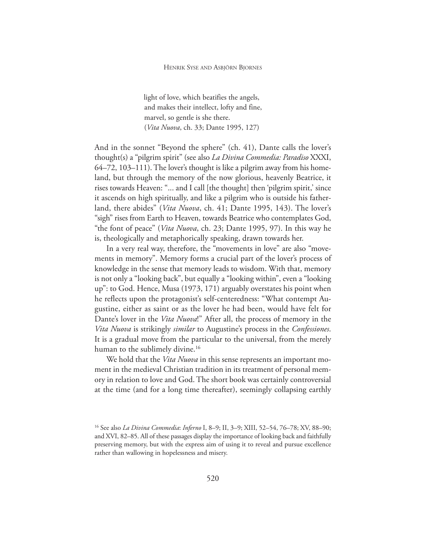light of love, which beatifies the angels, and makes their intellect, lofty and fine, marvel, so gentle is she there. (*Vita Nuova*, ch. 33; Dante 1995, 127)

And in the sonnet "Beyond the sphere" (ch. 41), Dante calls the lover's thought(s) a "pilgrim spirit" (see also *La Divina Commedia: Paradiso* XXXI, 64–72, 103–111). The lover's thought is like a pilgrim away from his homeland, but through the memory of the now glorious, heavenly Beatrice, it rises towards Heaven: "... and I call [the thought] then 'pilgrim spirit,' since it ascends on high spiritually, and like a pilgrim who is outside his fatherland, there abides" (*Vita Nuova*, ch. 41; Dante 1995, 143). The lover's "sigh" rises from Earth to Heaven, towards Beatrice who contemplates God, "the font of peace" (*Vita Nuova*, ch. 23; Dante 1995, 97). In this way he is, theologically and metaphorically speaking, drawn towards her.

In a very real way, therefore, the "movements in love" are also "movements in memory". Memory forms a crucial part of the lover's process of knowledge in the sense that memory leads to wisdom. With that, memory is not only a "looking back", but equally a "looking within", even a "looking up": to God. Hence, Musa (1973, 171) arguably overstates his point when he reflects upon the protagonist's self-centeredness: "What contempt Augustine, either as saint or as the lover he had been, would have felt for Dante's lover in the *Vita Nuova*!" After all, the process of memory in the *Vita Nuova* is strikingly *similar* to Augustine's process in the *Confessiones*. It is a gradual move from the particular to the universal, from the merely human to the sublimely divine.<sup>16</sup>

We hold that the *Vita Nuova* in this sense represents an important moment in the medieval Christian tradition in its treatment of personal memory in relation to love and God. The short book was certainly controversial at the time (and for a long time thereafter), seemingly collapsing earthly

<sup>16</sup> See also *La Divina Commedia*: *Inferno* I, 8–9; II, 3–9; XIII, 52–54, 76–78; XV, 88–90; and XVI, 82–85. All of these passages display the importance of looking back and faithfully preserving memory, but with the express aim of using it to reveal and pursue excellence rather than wallowing in hopelessness and misery.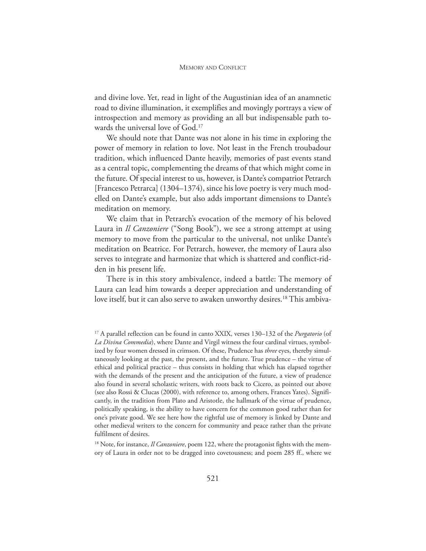and divine love. Yet, read in light of the Augustinian idea of an anamnetic road to divine illumination, it exemplifies and movingly portrays a view of introspection and memory as providing an all but indispensable path towards the universal love of God.<sup>17</sup>

We should note that Dante was not alone in his time in exploring the power of memory in relation to love. Not least in the French troubadour tradition, which influenced Dante heavily, memories of past events stand as a central topic, complementing the dreams of that which might come in the future. Of special interest to us, however, is Dante's compatriot Petrarch [Francesco Petrarca] (1304–1374), since his love poetry is very much modelled on Dante's example, but also adds important dimensions to Dante's meditation on memory.

We claim that in Petrarch's evocation of the memory of his beloved Laura in *Il Canzoniere* ("Song Book"), we see a strong attempt at using memory to move from the particular to the universal, not unlike Dante's meditation on Beatrice. For Petrarch, however, the memory of Laura also serves to integrate and harmonize that which is shattered and conflict-ridden in his present life.

There is in this story ambivalence, indeed a battle: The memory of Laura can lead him towards a deeper appreciation and understanding of love itself, but it can also serve to awaken unworthy desires.<sup>18</sup> This ambiva-

<sup>18</sup> Note, for instance, *Il Canzoniere*, poem 122, where the protagonist fights with the memory of Laura in order not to be dragged into covetousness; and poem 285 ff., where we

<sup>17</sup> A parallel reflection can be found in canto XXIX, verses 130–132 of the *Purgatorio* (of *La Divina Commedia*), where Dante and Virgil witness the four cardinal virtues, symbolized by four women dressed in crimson. Of these, Prudence has *three* eyes, thereby simultaneously looking at the past, the present, and the future. True prudence – the virtue of ethical and political practice – thus consists in holding that which has elapsed together with the demands of the present and the anticipation of the future, a view of prudence also found in several scholastic writers, with roots back to Cicero, as pointed out above (see also Rossi & Clucas (2000), with reference to, among others, Frances Yates). Significantly, in the tradition from Plato and Aristotle, the hallmark of the virtue of prudence, politically speaking, is the ability to have concern for the common good rather than for one's private good. We see here how the rightful use of memory is linked by Dante and other medieval writers to the concern for community and peace rather than the private fulfilment of desires.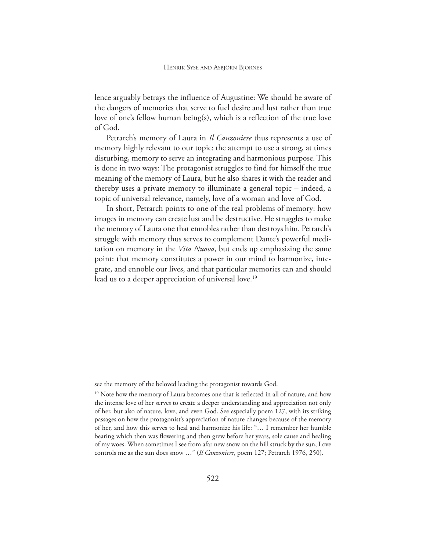lence arguably betrays the influence of Augustine: We should be aware of the dangers of memories that serve to fuel desire and lust rather than true love of one's fellow human being(s), which is a reflection of the true love of God.

Petrarch's memory of Laura in *Il Canzoniere* thus represents a use of memory highly relevant to our topic: the attempt to use a strong, at times disturbing, memory to serve an integrating and harmonious purpose. This is done in two ways: The protagonist struggles to find for himself the true meaning of the memory of Laura, but he also shares it with the reader and thereby uses a private memory to illuminate a general topic – indeed, a topic of universal relevance, namely, love of a woman and love of God.

In short, Petrarch points to one of the real problems of memory: how images in memory can create lust and be destructive. He struggles to make the memory of Laura one that ennobles rather than destroys him. Petrarch's struggle with memory thus serves to complement Dante's powerful meditation on memory in the *Vita Nuova*, but ends up emphasizing the same point: that memory constitutes a power in our mind to harmonize, integrate, and ennoble our lives, and that particular memories can and should lead us to a deeper appreciation of universal love.<sup>19</sup>

see the memory of the beloved leading the protagonist towards God.

<sup>&</sup>lt;sup>19</sup> Note how the memory of Laura becomes one that is reflected in all of nature, and how the intense love of her serves to create a deeper understanding and appreciation not only of her, but also of nature, love, and even God. See especially poem 127, with its striking passages on how the protagonist's appreciation of nature changes because of the memory of her, and how this serves to heal and harmonize his life: "… I remember her humble bearing which then was flowering and then grew before her years, sole cause and healing of my woes. When sometimes I see from afar new snow on the hill struck by the sun, Love controls me as the sun does snow …" (*Il Canzoniere*, poem 127; Petrarch 1976, 250).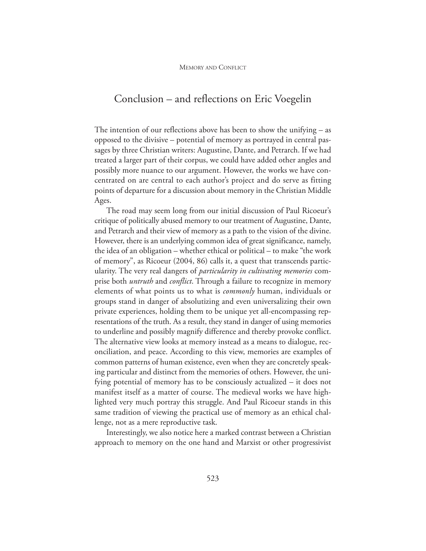#### Conclusion – and reflections on Eric Voegelin

The intention of our reflections above has been to show the unifying – as opposed to the divisive – potential of memory as portrayed in central passages by three Christian writers: Augustine, Dante, and Petrarch. If we had treated a larger part of their corpus, we could have added other angles and possibly more nuance to our argument. However, the works we have concentrated on are central to each author's project and do serve as fitting points of departure for a discussion about memory in the Christian Middle Ages.

The road may seem long from our initial discussion of Paul Ricoeur's critique of politically abused memory to our treatment of Augustine, Dante, and Petrarch and their view of memory as a path to the vision of the divine. However, there is an underlying common idea of great significance, namely, the idea of an obligation – whether ethical or political – to make "the work of memory", as Ricoeur (2004, 86) calls it, a quest that transcends particularity. The very real dangers of *particularity in cultivating memories* comprise both *untruth* and *conflict*. Through a failure to recognize in memory elements of what points us to what is *commonly* human, individuals or groups stand in danger of absolutizing and even universalizing their own private experiences, holding them to be unique yet all-encompassing representations of the truth. As a result, they stand in danger of using memories to underline and possibly magnify difference and thereby provoke conflict. The alternative view looks at memory instead as a means to dialogue, reconciliation, and peace. According to this view, memories are examples of common patterns of human existence, even when they are concretely speaking particular and distinct from the memories of others. However, the unifying potential of memory has to be consciously actualized – it does not manifest itself as a matter of course. The medieval works we have highlighted very much portray this struggle. And Paul Ricoeur stands in this same tradition of viewing the practical use of memory as an ethical challenge, not as a mere reproductive task.

Interestingly, we also notice here a marked contrast between a Christian approach to memory on the one hand and Marxist or other progressivist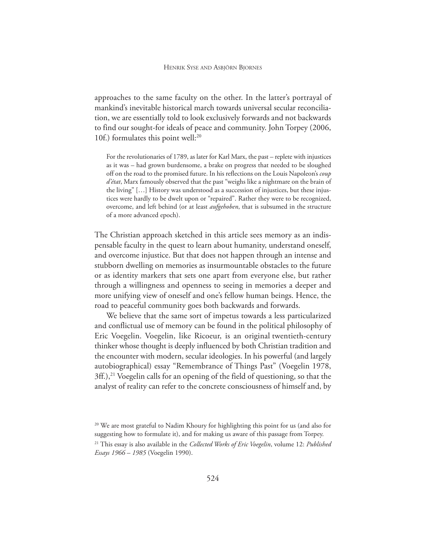approaches to the same faculty on the other. In the latter's portrayal of mankind's inevitable historical march towards universal secular reconciliation, we are essentially told to look exclusively forwards and not backwards to find our sought-for ideals of peace and community. John Torpey (2006, 10f.) formulates this point well:<sup>20</sup>

For the revolutionaries of 1789, as later for Karl Marx, the past – replete with injustices as it was – had grown burdensome, a brake on progress that needed to be sloughed off on the road to the promised future. In his reflections on the Louis Napoleon's *coup d'état*, Marx famously observed that the past "weighs like a nightmare on the brain of the living" […] History was understood as a succession of injustices, but these injustices were hardly to be dwelt upon or "repaired". Rather they were to be recognized, overcome, and left behind (or at least *aufgehoben*, that is subsumed in the structure of a more advanced epoch).

The Christian approach sketched in this article sees memory as an indispensable faculty in the quest to learn about humanity, understand oneself, and overcome injustice. But that does not happen through an intense and stubborn dwelling on memories as insurmountable obstacles to the future or as identity markers that sets one apart from everyone else, but rather through a willingness and openness to seeing in memories a deeper and more unifying view of oneself and one's fellow human beings. Hence, the road to peaceful community goes both backwards and forwards.

We believe that the same sort of impetus towards a less particularized and conflictual use of memory can be found in the political philosophy of Eric Voegelin. Voegelin, like Ricoeur, is an original twentieth-century thinker whose thought is deeply influenced by both Christian tradition and the encounter with modern, secular ideologies. In his powerful (and largely autobiographical) essay "Remembrance of Things Past" (Voegelin 1978,  $3\text{ff}$ .),<sup>21</sup> Voegelin calls for an opening of the field of questioning, so that the analyst of reality can refer to the concrete consciousness of himself and, by

<sup>&</sup>lt;sup>20</sup> We are most grateful to Nadim Khoury for highlighting this point for us (and also for suggesting how to formulate it), and for making us aware of this passage from Torpey.

<sup>21</sup> This essay is also available in the *Collected Works of Eric Voegelin*, volume 12: *Published Essays 1966 – 1985* (Voegelin 1990).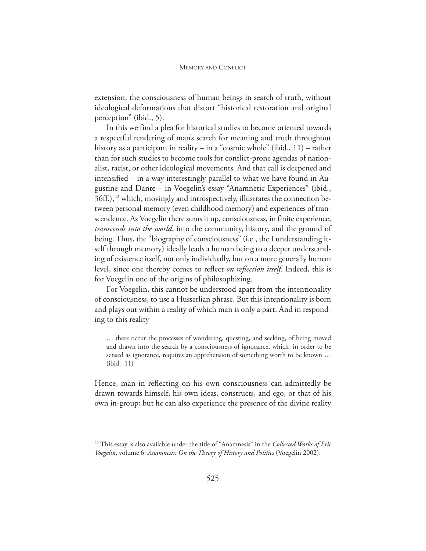extension, the consciousness of human beings in search of truth, without ideological deformations that distort "historical restoration and original perception" (ibid., 5).

In this we find a plea for historical studies to become oriented towards a respectful rendering of man's search for meaning and truth throughout history as a participant in reality – in a "cosmic whole" (ibid., 11) – rather than for such studies to become tools for conflict-prone agendas of nationalist, racist, or other ideological movements. And that call is deepened and intensified – in a way interestingly parallel to what we have found in Augustine and Dante – in Voegelin's essay "Anamnetic Experiences" (ibid., 36ff.),<sup>22</sup> which, movingly and introspectively, illustrates the connection between personal memory (even childhood memory) and experiences of transcendence. As Voegelin there sums it up, consciousness, in finite experience, *transcends into the world*, into the community, history, and the ground of being. Thus, the "biography of consciousness" (i.e., the I understanding itself through memory) ideally leads a human being to a deeper understanding of existence itself, not only individually, but on a more generally human level, since one thereby comes to reflect *on reflection itself*. Indeed, this is for Voegelin one of the origins of philosophizing.

For Voegelin, this cannot be understood apart from the intentionality of consciousness, to use a Husserlian phrase. But this intentionality is born and plays out within a reality of which man is only a part. And in responding to this reality

… there occur the processes of wondering, questing, and seeking, of being moved and drawn into the search by a consciousness of ignorance, which, in order to be sensed as ignorance, requires an apprehension of something worth to be known … (ibid., 11)

Hence, man in reflecting on his own consciousness can admittedly be drawn towards himself, his own ideas, constructs, and ego, or that of his own in-group; but he can also experience the presence of the divine reality

<sup>22</sup> This essay is also available under the title of "Anamnesis" in the *Collected Works of Eric Voegelin*, volume 6: *Anamnesis: On the Theory of History and Politics* (Voegelin 2002).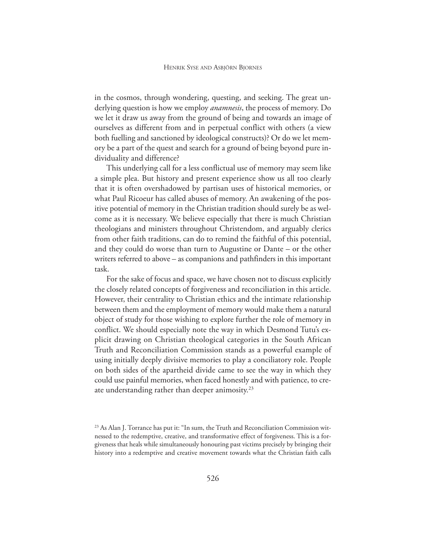in the cosmos, through wondering, questing, and seeking. The great underlying question is how we employ *anamnesis*, the process of memory. Do we let it draw us away from the ground of being and towards an image of ourselves as different from and in perpetual conflict with others (a view both fuelling and sanctioned by ideological constructs)? Or do we let memory be a part of the quest and search for a ground of being beyond pure individuality and difference?

This underlying call for a less conflictual use of memory may seem like a simple plea. But history and present experience show us all too clearly that it is often overshadowed by partisan uses of historical memories, or what Paul Ricoeur has called abuses of memory. An awakening of the positive potential of memory in the Christian tradition should surely be as welcome as it is necessary. We believe especially that there is much Christian theologians and ministers throughout Christendom, and arguably clerics from other faith traditions, can do to remind the faithful of this potential, and they could do worse than turn to Augustine or Dante – or the other writers referred to above – as companions and pathfinders in this important task.

For the sake of focus and space, we have chosen not to discuss explicitly the closely related concepts of forgiveness and reconciliation in this article. However, their centrality to Christian ethics and the intimate relationship between them and the employment of memory would make them a natural object of study for those wishing to explore further the role of memory in conflict. We should especially note the way in which Desmond Tutu's explicit drawing on Christian theological categories in the South African Truth and Reconciliation Commission stands as a powerful example of using initially deeply divisive memories to play a conciliatory role. People on both sides of the apartheid divide came to see the way in which they could use painful memories, when faced honestly and with patience, to create understanding rather than deeper animosity.<sup>23</sup>

<sup>&</sup>lt;sup>23</sup> As Alan J. Torrance has put it: "In sum, the Truth and Reconciliation Commission witnessed to the redemptive, creative, and transformative effect of forgiveness. This is a forgiveness that heals while simultaneously honouring past victims precisely by bringing their history into a redemptive and creative movement towards what the Christian faith calls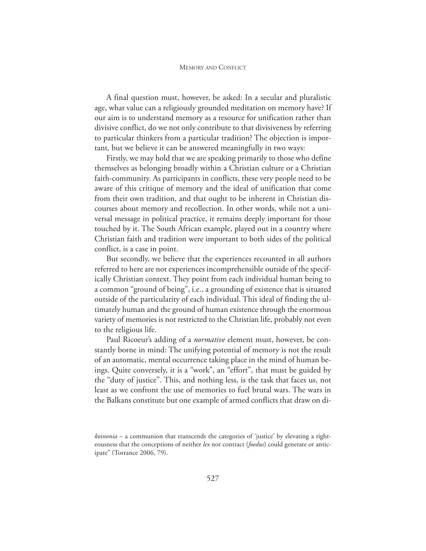A final question must, however, be asked: In a secular and pluralistic age, what value can a religiously grounded meditation on memory have? If our aim is to understand memory as a resource for unification rather than divisive conflict, do we not only contribute to that divisiveness by referring to particular thinkers from a particular tradition? The objection is important, but we believe it can be answered meaningfully in two ways:

Firstly, we may hold that we are speaking primarily to those who define themselves as belonging broadly within a Christian culture or a Christian faith-community. As participants in conflicts, these very people need to be aware of this critique of memory and the ideal of unification that come from their own tradition, and that ought to be inherent in Christian discourses about memory and recollection. In other words, while not a universal message in political practice, it remains deeply important for those touched by it. The South African example, played out in a country where Christian faith and tradition were important to both sides of the political conflict, is a case in point.

But secondly, we believe that the experiences recounted in all authors referred to here are not experiences incomprehensible outside of the specifically Christian context. They point from each individual human being to a common "ground of being", i.e., a grounding of existence that is situated outside of the particularity of each individual. This ideal of finding the ultimately human and the ground of human existence through the enormous variety of memories is not restricted to the Christian life, probably not even to the religious life.

Paul Ricoeur's adding of a *normative* element must, however, be constantly borne in mind: The unifying potential of memory is not the result of an automatic, mental occurrence taking place in the mind of human beings. Quite conversely, it is a "work", an "effort", that must be guided by the "duty of justice". This, and nothing less, is the task that faces us, not least as we confront the use of memories to fuel brutal wars. The wars in the Balkans constitute but one example of armed conflicts that draw on di-

*koinonia* – a communion that transcends the categories of 'justice' by elevating a righteousness that the conceptions of neither *lex* nor contract (*foedus*) could generate or anticipate" (Torrance 2006, 79).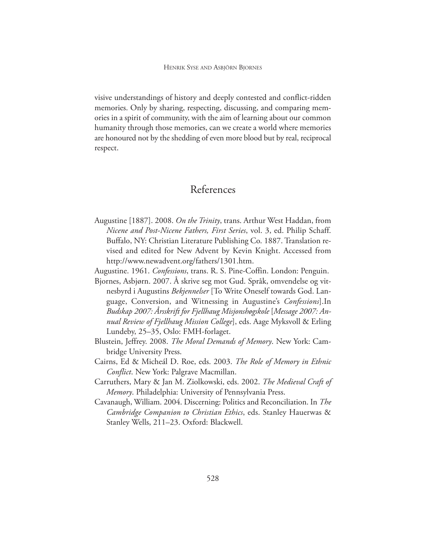visive understandings of history and deeply contested and conflict-ridden memories. Only by sharing, respecting, discussing, and comparing memories in a spirit of community, with the aim of learning about our common humanity through those memories, can we create a world where memories are honoured not by the shedding of even more blood but by real, reciprocal respect.

#### References

- Augustine [1887]. 2008. *On the Trinity*, trans. Arthur West Haddan, from *Nicene and Post-Nicene Fathers, First Series*, vol. 3, ed. Philip Schaff. Buffalo, NY: Christian Literature Publishing Co. 1887. Translation revised and edited for New Advent by Kevin Knight. Accessed from http://www.newadvent.org/fathers/1301.htm.
- Augustine. 1961. *Confessions*, trans. R. S. Pine-Coffin. London: Penguin.
- Bjornes, Asbjørn. 2007. Å skrive seg mot Gud. Språk, omvendelse og vitnesbyrd i Augustins *Bekjennelser* [To Write Oneself towards God. Language, Conversion, and Witnessing in Augustine's *Confessions*].In *Budskap 2007: Årsskrift for Fjellhaug Misjonshøgskole* [*Message 2007: Annual Review of Fjellhaug Mission College*], eds. Aage Myksvoll & Erling Lundeby, 25–35, Oslo: FMH-forlaget.
- Blustein, Jeffrey. 2008. *The Moral Demands of Memory*. New York: Cambridge University Press.
- Cairns, Ed & Micheál D. Roe, eds. 2003. *The Role of Memory in Ethnic Conflict*. New York: Palgrave Macmillan.
- Carruthers, Mary & Jan M. Ziolkowski, eds. 2002. *The Medieval Craft of Memory*. Philadelphia: University of Pennsylvania Press.
- Cavanaugh, William. 2004. Discerning: Politics and Reconciliation. In *The Cambridge Companion to Christian Ethics*, eds. Stanley Hauerwas & Stanley Wells, 211–23. Oxford: Blackwell.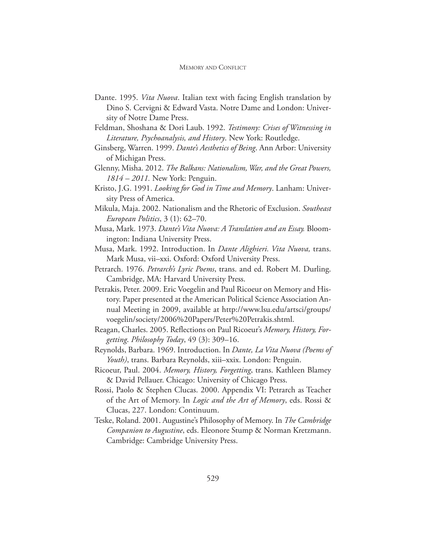- Dante. 1995. *Vita Nuova*. Italian text with facing English translation by Dino S. Cervigni & Edward Vasta. Notre Dame and London: University of Notre Dame Press.
- Feldman, Shoshana & Dori Laub. 1992. *Testimony: Crises of Witnessing in Literature, Psychoanalysis, and History*. New York: Routledge.
- Ginsberg, Warren. 1999. *Dante's Aesthetics of Being*. Ann Arbor: University of Michigan Press.
- Glenny, Misha. 2012. *The Balkans: Nationalism, War, and the Great Powers, 1814 – 2011.* New York: Penguin.
- Kristo, J.G. 1991. *Looking for God in Time and Memory*. Lanham: University Press of America.
- Mikula, Maja. 2002. Nationalism and the Rhetoric of Exclusion. *Southeast European Politics*, 3 (1): 62–70.
- Musa, Mark. 1973. *Dante's Vita Nuova: A Translation and an Essay.* Bloomington: Indiana University Press.
- Musa, Mark. 1992. Introduction. In *Dante Alighieri. Vita Nuova,* trans. Mark Musa, vii–xxi. Oxford: Oxford University Press.
- Petrarch. 1976. *Petrarch's Lyric Poems*, trans. and ed. Robert M. Durling. Cambridge, MA: Harvard University Press.
- Petrakis, Peter. 2009. Eric Voegelin and Paul Ricoeur on Memory and History. Paper presented at the American Political Science Association Annual Meeting in 2009, available at http://www.lsu.edu/artsci/groups/ voegelin/society/2006%20Papers/Peter%20Petrakis.shtml.
- Reagan, Charles. 2005. Reflections on Paul Ricoeur's *Memory, History, Forgetting*. *Philosophy Today*, 49 (3): 309–16.
- Reynolds, Barbara. 1969. Introduction. In *Dante, La Vita Nuova (Poems of Youth)*, trans. Barbara Reynolds, xiii–xxix. London: Penguin.
- Ricoeur, Paul. 2004. *Memory, History, Forgetting*, trans. Kathleen Blamey & David Pellauer. Chicago: University of Chicago Press.
- Rossi, Paolo & Stephen Clucas. 2000. Appendix VI: Petrarch as Teacher of the Art of Memory. In *Logic and the Art of Memory*, eds. Rossi & Clucas, 227. London: Continuum.
- Teske, Roland. 2001. Augustine's Philosophy of Memory. In *The Cambridge Companion to Augustine*, eds. Eleonore Stump & Norman Kretzmann. Cambridge: Cambridge University Press.